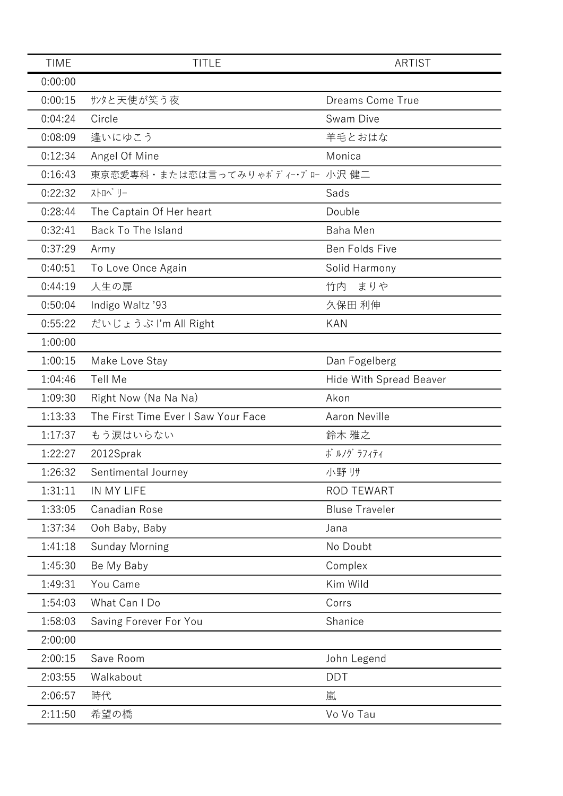| <b>TIME</b> | <b>TITLE</b>                        | <b>ARTIST</b>                  |
|-------------|-------------------------------------|--------------------------------|
| 0:00:00     |                                     |                                |
| 0:00:15     | サンタと天使が笑う夜                          | Dreams Come True               |
| 0:04:24     | Circle                              | Swam Dive                      |
| 0:08:09     | 逢いにゆこう                              | 羊毛とおはな                         |
| 0:12:34     | Angel Of Mine                       | Monica                         |
| 0:16:43     | 東京恋愛専科・または恋は言ってみりゃがディー・ブロー 小沢健二     |                                |
| 0:22:32     | ストロベ リー                             | Sads                           |
| 0:28:44     | The Captain Of Her heart            | Double                         |
| 0:32:41     | <b>Back To The Island</b>           | <b>Baha Men</b>                |
| 0:37:29     | Army                                | Ben Folds Five                 |
| 0:40:51     | To Love Once Again                  | Solid Harmony                  |
| 0:44:19     | 人生の扉                                | 竹内<br>まりや                      |
| 0:50:04     | Indigo Waltz '93                    | 久保田 利伸                         |
| 0:55:22     | だいじょうぶ I'm All Right                | <b>KAN</b>                     |
| 1:00:00     |                                     |                                |
| 1:00:15     | Make Love Stay                      | Dan Fogelberg                  |
| 1:04:46     | Tell Me                             | <b>Hide With Spread Beaver</b> |
| 1:09:30     | Right Now (Na Na Na)                | Akon                           |
| 1:13:33     | The First Time Ever I Saw Your Face | <b>Aaron Neville</b>           |
| 1:17:37     | もう涙はいらない                            | 鈴木 雅之                          |
| 1:22:27     | 2012Sprak                           | ポ ルノグ ラフィティ                    |
| 1:26:32     | Sentimental Journey                 | 小野 リサ                          |
| 1:31:11     | IN MY LIFE                          | <b>ROD TEWART</b>              |
| 1:33:05     | Canadian Rose                       | <b>Bluse Traveler</b>          |
| 1:37:34     | Ooh Baby, Baby                      | Jana                           |
| 1:41:18     | <b>Sunday Morning</b>               | No Doubt                       |
| 1:45:30     | Be My Baby                          | Complex                        |
| 1:49:31     | You Came                            | Kim Wild                       |
| 1:54:03     | What Can I Do                       | Corrs                          |
| 1:58:03     | Saving Forever For You              | Shanice                        |
| 2:00:00     |                                     |                                |
| 2:00:15     | Save Room                           | John Legend                    |
| 2:03:55     | Walkabout                           | <b>DDT</b>                     |
| 2:06:57     | 時代                                  | 嵐                              |
| 2:11:50     | 希望の橋                                | Vo Vo Tau                      |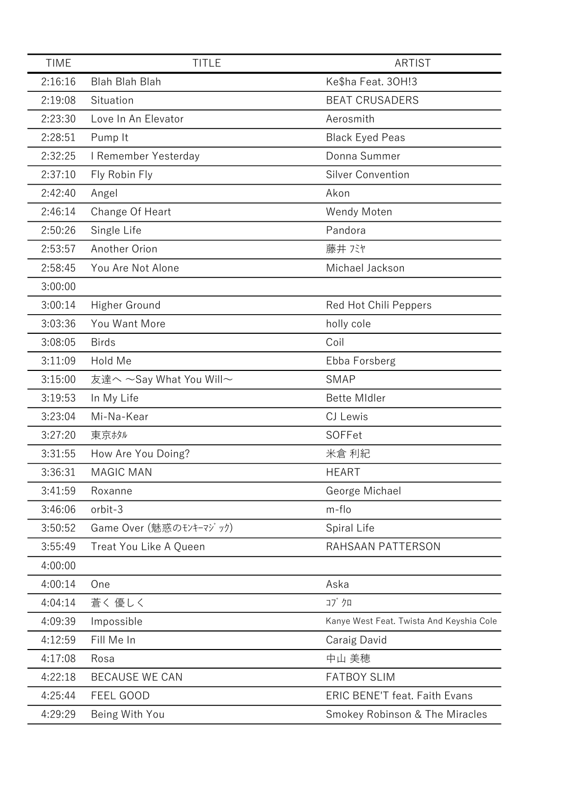| <b>TIME</b> | <b>TITLE</b>            | <b>ARTIST</b>                            |
|-------------|-------------------------|------------------------------------------|
| 2:16:16     | Blah Blah Blah          | Ke\$ha Feat. 30H!3                       |
| 2:19:08     | Situation               | <b>BEAT CRUSADERS</b>                    |
| 2:23:30     | Love In An Elevator     | Aerosmith                                |
| 2:28:51     | Pump It                 | <b>Black Eyed Peas</b>                   |
| 2:32:25     | I Remember Yesterday    | Donna Summer                             |
| 2:37:10     | Fly Robin Fly           | <b>Silver Convention</b>                 |
| 2:42:40     | Angel                   | Akon                                     |
| 2:46:14     | Change Of Heart         | Wendy Moten                              |
| 2:50:26     | Single Life             | Pandora                                  |
| 2:53:57     | Another Orion           | 藤井 バヤ                                    |
| 2:58:45     | You Are Not Alone       | Michael Jackson                          |
| 3:00:00     |                         |                                          |
| 3:00:14     | Higher Ground           | Red Hot Chili Peppers                    |
| 3:03:36     | You Want More           | holly cole                               |
| 3:08:05     | <b>Birds</b>            | Coil                                     |
| 3:11:09     | Hold Me                 | Ebba Forsberg                            |
| 3:15:00     | 友達へ 〜Say What You Will〜 | <b>SMAP</b>                              |
| 3:19:53     | In My Life              | <b>Bette Midler</b>                      |
| 3:23:04     | Mi-Na-Kear              | CJ Lewis                                 |
| 3:27:20     | 東京於ル                    | SOFFet                                   |
| 3:31:55     | How Are You Doing?      | 米倉 利紀                                    |
| 3:36:31     | <b>MAGIC MAN</b>        | <b>HEART</b>                             |
| 3:41:59     | Roxanne                 | George Michael                           |
| 3:46:06     | orbit-3                 | m-flo                                    |
| 3:50:52     | Game Over (魅惑のモンキーマジック) | Spiral Life                              |
| 3:55:49     | Treat You Like A Queen  | RAHSAAN PATTERSON                        |
| 4:00:00     |                         |                                          |
| 4:00:14     | One                     | Aska                                     |
| 4:04:14     | 蒼く 優しく                  | コブクロ                                     |
| 4:09:39     | Impossible              | Kanye West Feat. Twista And Keyshia Cole |
| 4:12:59     | Fill Me In              | Caraig David                             |
| 4:17:08     | Rosa                    | 中山 美穂                                    |
| 4:22:18     | BECAUSE WE CAN          | <b>FATBOY SLIM</b>                       |
| 4:25:44     | FEEL GOOD               | <b>ERIC BENE'T feat. Faith Evans</b>     |
| 4:29:29     | Being With You          | Smokey Robinson & The Miracles           |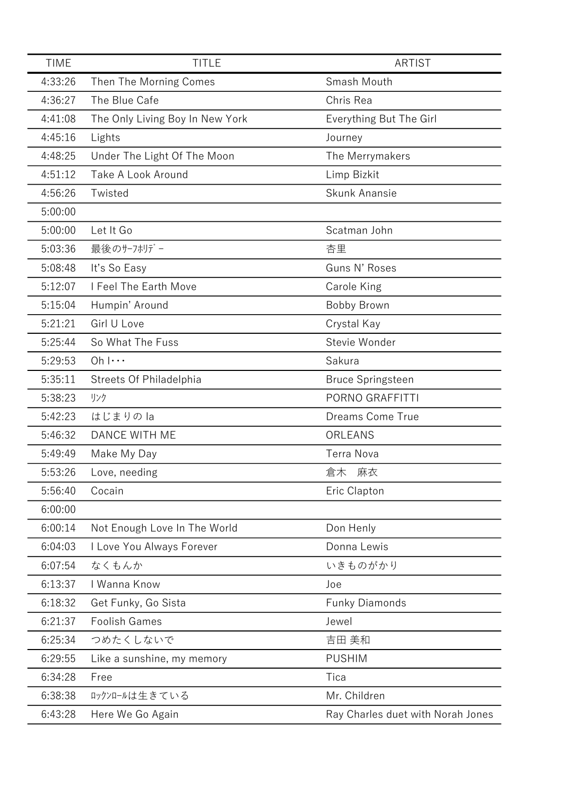| <b>TIME</b> | <b>TITLE</b>                    | <b>ARTIST</b>                     |
|-------------|---------------------------------|-----------------------------------|
| 4:33:26     | Then The Morning Comes          | Smash Mouth                       |
| 4:36:27     | The Blue Cafe                   | Chris Rea                         |
| 4:41:08     | The Only Living Boy In New York | Everything But The Girl           |
| 4:45:16     | Lights                          | Journey                           |
| 4:48:25     | Under The Light Of The Moon     | The Merrymakers                   |
| 4:51:12     | Take A Look Around              | Limp Bizkit                       |
| 4:56:26     | Twisted                         | Skunk Anansie                     |
| 5:00:00     |                                 |                                   |
| 5:00:00     | Let It Go                       | Scatman John                      |
| 5:03:36     | 最後のサーフホリデー                      | 杏里                                |
| 5:08:48     | It's So Easy                    | Guns N' Roses                     |
| 5:12:07     | I Feel The Earth Move           | Carole King                       |
| 5:15:04     | Humpin' Around                  | Bobby Brown                       |
| 5:21:21     | Girl U Love                     | Crystal Kay                       |
| 5:25:44     | So What The Fuss                | Stevie Wonder                     |
| 5:29:53     | $Oh   \cdots$                   | Sakura                            |
| 5:35:11     | Streets Of Philadelphia         | <b>Bruce Springsteen</b>          |
| 5:38:23     | リンク                             | PORNO GRAFFITTI                   |
| 5:42:23     | はじまりのla                         | Dreams Come True                  |
| 5:46:32     | DANCE WITH ME                   | ORLEANS                           |
| 5:49:49     | Make My Day                     | <b>Terra Nova</b>                 |
| 5:53:26     | Love, needing                   | 麻衣<br>倉木                          |
| 5:56:40     | Cocain                          | Eric Clapton                      |
| 6:00:00     |                                 |                                   |
| 6:00:14     | Not Enough Love In The World    | Don Henly                         |
| 6:04:03     | I Love You Always Forever       | Donna Lewis                       |
| 6:07:54     | なくもんか                           | いきものがかり                           |
| 6:13:37     | I Wanna Know                    | Joe                               |
| 6:18:32     | Get Funky, Go Sista             | <b>Funky Diamonds</b>             |
| 6:21:37     | <b>Foolish Games</b>            | Jewel                             |
| 6:25:34     | つめたくしないで                        | 吉田 美和                             |
| 6:29:55     | Like a sunshine, my memory      | <b>PUSHIM</b>                     |
| 6:34:28     | Free                            | Tica                              |
| 6:38:38     | ロックンロールは生きている                   | Mr. Children                      |
| 6:43:28     | Here We Go Again                | Ray Charles duet with Norah Jones |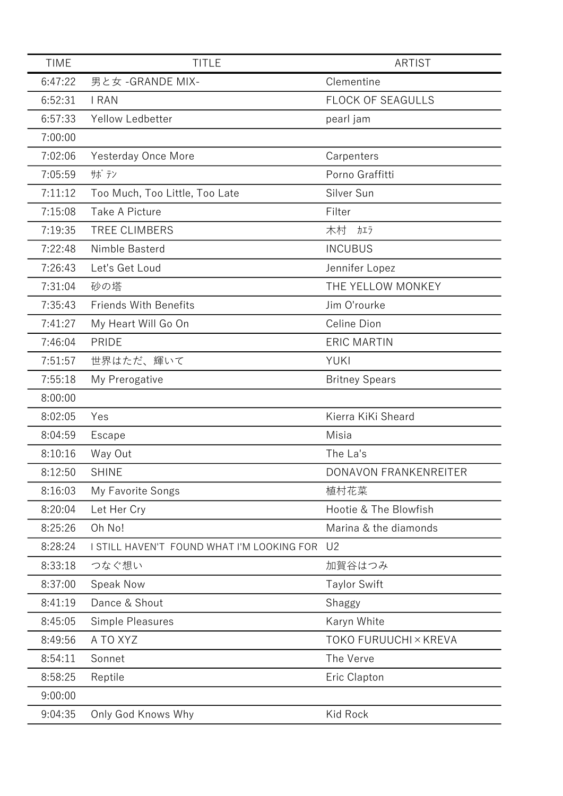| <b>TIME</b> | <b>TITLE</b>                               | <b>ARTIST</b>            |
|-------------|--------------------------------------------|--------------------------|
| 6:47:22     | 男と女 - GRANDE MIX-                          | Clementine               |
| 6:52:31     | I RAN                                      | <b>FLOCK OF SEAGULLS</b> |
| 6:57:33     | Yellow Ledbetter                           | pearl jam                |
| 7:00:00     |                                            |                          |
| 7:02:06     | Yesterday Once More                        | Carpenters               |
| 7:05:59     | サボテン                                       | Porno Graffitti          |
| 7:11:12     | Too Much, Too Little, Too Late             | Silver Sun               |
| 7:15:08     | Take A Picture                             | Filter                   |
| 7:19:35     | <b>TREE CLIMBERS</b>                       | 木村<br>カエラ                |
| 7:22:48     | Nimble Basterd                             | <b>INCUBUS</b>           |
| 7:26:43     | Let's Get Loud                             | Jennifer Lopez           |
| 7:31:04     | 砂の塔                                        | THE YELLOW MONKEY        |
| 7:35:43     | <b>Friends With Benefits</b>               | Jim O'rourke             |
| 7:41:27     | My Heart Will Go On                        | Celine Dion              |
| 7:46:04     | <b>PRIDE</b>                               | <b>ERIC MARTIN</b>       |
| 7:51:57     | 世界はただ、輝いて                                  | YUKI                     |
| 7:55:18     | My Prerogative                             | <b>Britney Spears</b>    |
| 8:00:00     |                                            |                          |
| 8:02:05     | Yes                                        | Kierra KiKi Sheard       |
| 8:04:59     | Escape                                     | Misia                    |
| 8:10:16     | Way Out                                    | The La's                 |
| 8:12:50     | <b>SHINE</b>                               | DONAVON FRANKENREITER    |
| 8:16:03     | My Favorite Songs                          | 植村花菜                     |
| 8:20:04     | Let Her Cry                                | Hootie & The Blowfish    |
| 8:25:26     | Oh No!                                     | Marina & the diamonds    |
| 8:28:24     | I STILL HAVEN'T FOUND WHAT I'M LOOKING FOR | U <sub>2</sub>           |
| 8:33:18     | つなぐ想い                                      | 加賀谷はつみ                   |
| 8:37:00     | Speak Now                                  | <b>Taylor Swift</b>      |
| 8:41:19     | Dance & Shout                              | Shaggy                   |
| 8:45:05     | Simple Pleasures                           | Karyn White              |
| 8:49:56     | A TO XYZ                                   | TOKO FURUUCHI × KREVA    |
| 8:54:11     | Sonnet                                     | The Verve                |
| 8:58:25     | Reptile                                    | Eric Clapton             |
| 9:00:00     |                                            |                          |
| 9:04:35     | Only God Knows Why                         | Kid Rock                 |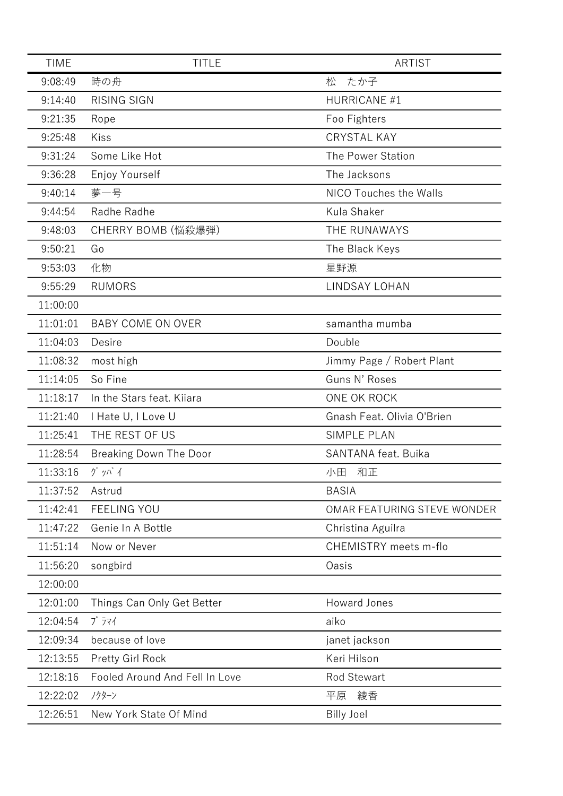| <b>TIME</b> | <b>TITLE</b>                   | <b>ARTIST</b>               |
|-------------|--------------------------------|-----------------------------|
| 9:08:49     | 時の舟                            | 松<br>たか子                    |
| 9:14:40     | <b>RISING SIGN</b>             | <b>HURRICANE #1</b>         |
| 9:21:35     | Rope                           | Foo Fighters                |
| 9:25:48     | Kiss                           | <b>CRYSTAL KAY</b>          |
| 9:31:24     | Some Like Hot                  | The Power Station           |
| 9:36:28     | Enjoy Yourself                 | The Jacksons                |
| 9:40:14     | 夢一号                            | NICO Touches the Walls      |
| 9:44:54     | Radhe Radhe                    | Kula Shaker                 |
| 9:48:03     | CHERRY BOMB (悩殺爆弾)             | THE RUNAWAYS                |
| 9:50:21     | Go                             | The Black Keys              |
| 9:53:03     | 化物                             | 星野源                         |
| 9:55:29     | <b>RUMORS</b>                  | <b>LINDSAY LOHAN</b>        |
| 11:00:00    |                                |                             |
| 11:01:01    | <b>BABY COME ON OVER</b>       | samantha mumba              |
| 11:04:03    | Desire                         | Double                      |
| 11:08:32    | most high                      | Jimmy Page / Robert Plant   |
| 11:14:05    | So Fine                        | Guns N' Roses               |
| 11:18:17    | In the Stars feat. Kiiara      | ONE OK ROCK                 |
| 11:21:40    | I Hate U, I Love U             | Gnash Feat. Olivia O'Brien  |
| 11:25:41    | THE REST OF US                 | <b>SIMPLE PLAN</b>          |
| 11:28:54    | Breaking Down The Door         | SANTANA feat. Buika         |
| 11:33:16    | グッバイ                           | 小田 和正                       |
| 11:37:52    | Astrud                         | <b>BASIA</b>                |
| 11:42:41    | <b>FEELING YOU</b>             | OMAR FEATURING STEVE WONDER |
| 11:47:22    | Genie In A Bottle              | Christina Aguilra           |
| 11:51:14    | Now or Never                   | CHEMISTRY meets m-flo       |
| 11:56:20    | songbird                       | Oasis                       |
| 12:00:00    |                                |                             |
| 12:01:00    | Things Can Only Get Better     | Howard Jones                |
| 12:04:54    | プラマイ                           | aiko                        |
| 12:09:34    | because of love                | janet jackson               |
| 12:13:55    | Pretty Girl Rock               | Keri Hilson                 |
| 12:18:16    | Fooled Around And Fell In Love | <b>Rod Stewart</b>          |
| 12:22:02    | ノクターン                          | 平原<br>綾香                    |
| 12:26:51    | New York State Of Mind         | <b>Billy Joel</b>           |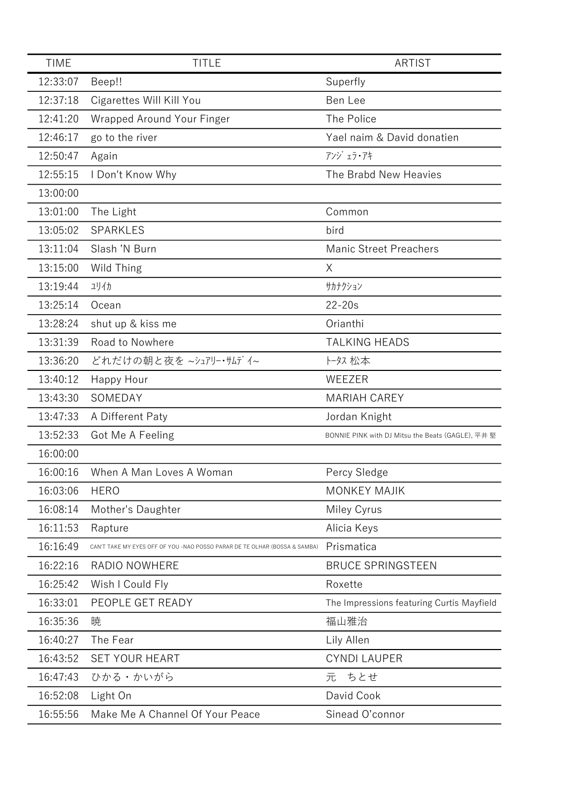| <b>TIME</b> | <b>TITLE</b>                                                               | <b>ARTIST</b>                                                       |
|-------------|----------------------------------------------------------------------------|---------------------------------------------------------------------|
| 12:33:07    | Beep!!                                                                     | Superfly                                                            |
| 12:37:18    | Cigarettes Will Kill You                                                   | Ben Lee                                                             |
| 12:41:20    | <b>Wrapped Around Your Finger</b>                                          | The Police                                                          |
| 12:46:17    | go to the river                                                            | Yael naim & David donatien                                          |
| 12:50:47    | Again                                                                      | $7'$ $\overrightarrow{z}$ $\overrightarrow{z}$ $\overrightarrow{r}$ |
| 12:55:15    | I Don't Know Why                                                           | The Brabd New Heavies                                               |
| 13:00:00    |                                                                            |                                                                     |
| 13:01:00    | The Light                                                                  | Common                                                              |
| 13:05:02    | SPARKLES                                                                   | bird                                                                |
| 13:11:04    | Slash 'N Burn                                                              | <b>Manic Street Preachers</b>                                       |
| 13:15:00    | Wild Thing                                                                 | Χ                                                                   |
| 13:19:44    | ュリイカ                                                                       | サカナクション                                                             |
| 13:25:14    | Ocean                                                                      | $22 - 20s$                                                          |
| 13:28:24    | shut up & kiss me                                                          | Orianthi                                                            |
| 13:31:39    | Road to Nowhere                                                            | <b>TALKING HEADS</b>                                                |
| 13:36:20    | どれだけの朝と夜を ~シュアリー・サムデイ~                                                     | トータス 松本                                                             |
| 13:40:12    | Happy Hour                                                                 | WEEZER                                                              |
| 13:43:30    | SOMEDAY                                                                    | <b>MARIAH CAREY</b>                                                 |
| 13:47:33    | A Different Paty                                                           | Jordan Knight                                                       |
| 13:52:33    | Got Me A Feeling                                                           | BONNIE PINK with DJ Mitsu the Beats (GAGLE), 平井 堅                   |
| 16:00:00    |                                                                            |                                                                     |
| 16:00:16    | When A Man Loves A Woman                                                   | Percy Sledge                                                        |
| 16:03:06    | <b>HERO</b>                                                                | <b>MONKEY MAJIK</b>                                                 |
| 16:08:14    | Mother's Daughter                                                          | Miley Cyrus                                                         |
| 16:11:53    | Rapture                                                                    | Alicia Keys                                                         |
| 16:16:49    | CAN'T TAKE MY EYES OFF OF YOU -NAO POSSO PARAR DE TE OLHAR (BOSSA & SAMBA) | Prismatica                                                          |
| 16:22:16    | RADIO NOWHERE                                                              | <b>BRUCE SPRINGSTEEN</b>                                            |
| 16:25:42    | Wish I Could Fly                                                           | Roxette                                                             |
| 16:33:01    | PEOPLE GET READY                                                           | The Impressions featuring Curtis Mayfield                           |
| 16:35:36    | 暁                                                                          | 福山雅治                                                                |
| 16:40:27    | The Fear                                                                   | Lily Allen                                                          |
| 16:43:52    | SET YOUR HEART                                                             | <b>CYNDI LAUPER</b>                                                 |
| 16:47:43    | ひかる・かいがら                                                                   | ちとせ<br>兀                                                            |
| 16:52:08    | Light On                                                                   | David Cook                                                          |
| 16:55:56    | Make Me A Channel Of Your Peace                                            | Sinead O'connor                                                     |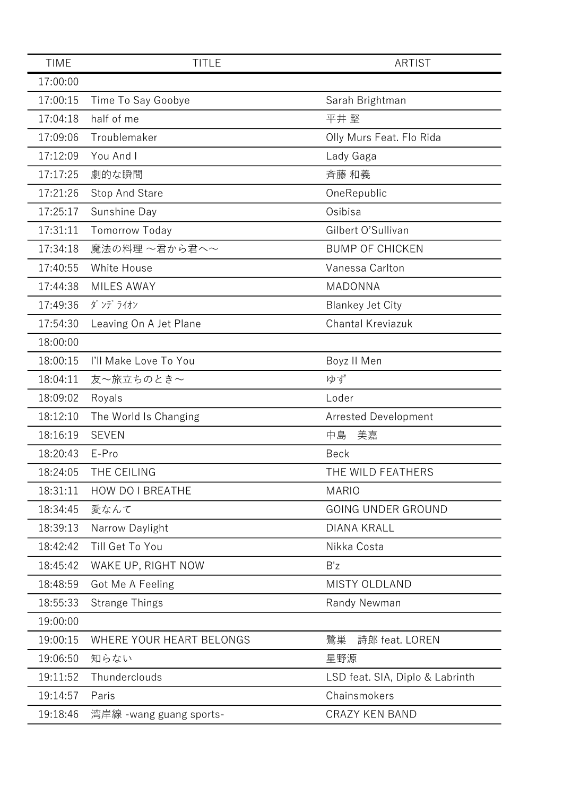| 17:00:00<br>17:00:15<br>Time To Say Goobye<br>Sarah Brightman<br>17:04:18<br>half of me<br>平井 堅<br>17:09:06<br>Troublemaker<br>Olly Murs Feat. Flo Rida<br>17:12:09<br>You And I<br>Lady Gaga<br>劇的な瞬間<br>斉藤 和義<br>17:17:25<br>17:21:26<br>OneRepublic<br>Stop And Stare<br>17:25:17<br>Osibisa<br>Sunshine Day<br>17:31:11<br>Gilbert O'Sullivan<br><b>Tomorrow Today</b><br>魔法の料理 ~君から君へ~<br>17:34:18<br><b>BUMP OF CHICKEN</b><br>17:40:55<br>White House<br>Vanessa Carlton<br>17:44:38<br><b>MILES AWAY</b><br>MADONNA<br>ダ ンデ ライオン<br>17:49:36<br><b>Blankey Jet City</b><br><b>Chantal Kreviazuk</b><br>17:54:30<br>Leaving On A Jet Plane<br>18:00:00<br>18:00:15<br>I'll Make Love To You<br>Boyz II Men<br>ゆず<br>18:04:11<br>友~旅立ちのとき~<br>18:09:02<br>Loder<br>Royals<br>18:12:10<br>The World Is Changing<br><b>Arrested Development</b><br>18:16:19<br><b>SEVEN</b><br>中島<br>美嘉<br>18:20:43<br>E-Pro<br><b>Beck</b><br>18:24:05<br>THE CEILING<br>THE WILD FEATHERS<br>18:31:11<br>HOW DO I BREATHE<br><b>MARIO</b><br><b>GOING UNDER GROUND</b><br>18:34:45<br>愛なんて<br>18:39:13<br>DIANA KRALL<br>Narrow Daylight<br>18:42:42<br>Till Get To You<br>Nikka Costa<br>18:45:42<br>WAKE UP, RIGHT NOW<br>B'z<br>18:48:59<br>Got Me A Feeling<br><b>MISTY OLDLAND</b><br>18:55:33<br>Randy Newman<br><b>Strange Things</b><br>19:00:00<br>19:00:15<br>WHERE YOUR HEART BELONGS<br>詩郎 feat. LOREN<br>鷺巣<br>19:06:50<br>知らない<br>星野源<br>19:11:52<br>Thunderclouds<br>LSD feat. SIA, Diplo & Labrinth<br>19:14:57<br>Chainsmokers<br>Paris<br><b>CRAZY KEN BAND</b><br>19:18:46<br>湾岸線 -wang guang sports- | <b>TIME</b> | <b>TITLE</b> | <b>ARTIST</b> |
|----------------------------------------------------------------------------------------------------------------------------------------------------------------------------------------------------------------------------------------------------------------------------------------------------------------------------------------------------------------------------------------------------------------------------------------------------------------------------------------------------------------------------------------------------------------------------------------------------------------------------------------------------------------------------------------------------------------------------------------------------------------------------------------------------------------------------------------------------------------------------------------------------------------------------------------------------------------------------------------------------------------------------------------------------------------------------------------------------------------------------------------------------------------------------------------------------------------------------------------------------------------------------------------------------------------------------------------------------------------------------------------------------------------------------------------------------------------------------------------------------------------------------------------------------------------------------------------------------------------|-------------|--------------|---------------|
|                                                                                                                                                                                                                                                                                                                                                                                                                                                                                                                                                                                                                                                                                                                                                                                                                                                                                                                                                                                                                                                                                                                                                                                                                                                                                                                                                                                                                                                                                                                                                                                                                |             |              |               |
|                                                                                                                                                                                                                                                                                                                                                                                                                                                                                                                                                                                                                                                                                                                                                                                                                                                                                                                                                                                                                                                                                                                                                                                                                                                                                                                                                                                                                                                                                                                                                                                                                |             |              |               |
|                                                                                                                                                                                                                                                                                                                                                                                                                                                                                                                                                                                                                                                                                                                                                                                                                                                                                                                                                                                                                                                                                                                                                                                                                                                                                                                                                                                                                                                                                                                                                                                                                |             |              |               |
|                                                                                                                                                                                                                                                                                                                                                                                                                                                                                                                                                                                                                                                                                                                                                                                                                                                                                                                                                                                                                                                                                                                                                                                                                                                                                                                                                                                                                                                                                                                                                                                                                |             |              |               |
|                                                                                                                                                                                                                                                                                                                                                                                                                                                                                                                                                                                                                                                                                                                                                                                                                                                                                                                                                                                                                                                                                                                                                                                                                                                                                                                                                                                                                                                                                                                                                                                                                |             |              |               |
|                                                                                                                                                                                                                                                                                                                                                                                                                                                                                                                                                                                                                                                                                                                                                                                                                                                                                                                                                                                                                                                                                                                                                                                                                                                                                                                                                                                                                                                                                                                                                                                                                |             |              |               |
|                                                                                                                                                                                                                                                                                                                                                                                                                                                                                                                                                                                                                                                                                                                                                                                                                                                                                                                                                                                                                                                                                                                                                                                                                                                                                                                                                                                                                                                                                                                                                                                                                |             |              |               |
|                                                                                                                                                                                                                                                                                                                                                                                                                                                                                                                                                                                                                                                                                                                                                                                                                                                                                                                                                                                                                                                                                                                                                                                                                                                                                                                                                                                                                                                                                                                                                                                                                |             |              |               |
|                                                                                                                                                                                                                                                                                                                                                                                                                                                                                                                                                                                                                                                                                                                                                                                                                                                                                                                                                                                                                                                                                                                                                                                                                                                                                                                                                                                                                                                                                                                                                                                                                |             |              |               |
|                                                                                                                                                                                                                                                                                                                                                                                                                                                                                                                                                                                                                                                                                                                                                                                                                                                                                                                                                                                                                                                                                                                                                                                                                                                                                                                                                                                                                                                                                                                                                                                                                |             |              |               |
|                                                                                                                                                                                                                                                                                                                                                                                                                                                                                                                                                                                                                                                                                                                                                                                                                                                                                                                                                                                                                                                                                                                                                                                                                                                                                                                                                                                                                                                                                                                                                                                                                |             |              |               |
|                                                                                                                                                                                                                                                                                                                                                                                                                                                                                                                                                                                                                                                                                                                                                                                                                                                                                                                                                                                                                                                                                                                                                                                                                                                                                                                                                                                                                                                                                                                                                                                                                |             |              |               |
|                                                                                                                                                                                                                                                                                                                                                                                                                                                                                                                                                                                                                                                                                                                                                                                                                                                                                                                                                                                                                                                                                                                                                                                                                                                                                                                                                                                                                                                                                                                                                                                                                |             |              |               |
|                                                                                                                                                                                                                                                                                                                                                                                                                                                                                                                                                                                                                                                                                                                                                                                                                                                                                                                                                                                                                                                                                                                                                                                                                                                                                                                                                                                                                                                                                                                                                                                                                |             |              |               |
|                                                                                                                                                                                                                                                                                                                                                                                                                                                                                                                                                                                                                                                                                                                                                                                                                                                                                                                                                                                                                                                                                                                                                                                                                                                                                                                                                                                                                                                                                                                                                                                                                |             |              |               |
|                                                                                                                                                                                                                                                                                                                                                                                                                                                                                                                                                                                                                                                                                                                                                                                                                                                                                                                                                                                                                                                                                                                                                                                                                                                                                                                                                                                                                                                                                                                                                                                                                |             |              |               |
|                                                                                                                                                                                                                                                                                                                                                                                                                                                                                                                                                                                                                                                                                                                                                                                                                                                                                                                                                                                                                                                                                                                                                                                                                                                                                                                                                                                                                                                                                                                                                                                                                |             |              |               |
|                                                                                                                                                                                                                                                                                                                                                                                                                                                                                                                                                                                                                                                                                                                                                                                                                                                                                                                                                                                                                                                                                                                                                                                                                                                                                                                                                                                                                                                                                                                                                                                                                |             |              |               |
|                                                                                                                                                                                                                                                                                                                                                                                                                                                                                                                                                                                                                                                                                                                                                                                                                                                                                                                                                                                                                                                                                                                                                                                                                                                                                                                                                                                                                                                                                                                                                                                                                |             |              |               |
|                                                                                                                                                                                                                                                                                                                                                                                                                                                                                                                                                                                                                                                                                                                                                                                                                                                                                                                                                                                                                                                                                                                                                                                                                                                                                                                                                                                                                                                                                                                                                                                                                |             |              |               |
|                                                                                                                                                                                                                                                                                                                                                                                                                                                                                                                                                                                                                                                                                                                                                                                                                                                                                                                                                                                                                                                                                                                                                                                                                                                                                                                                                                                                                                                                                                                                                                                                                |             |              |               |
|                                                                                                                                                                                                                                                                                                                                                                                                                                                                                                                                                                                                                                                                                                                                                                                                                                                                                                                                                                                                                                                                                                                                                                                                                                                                                                                                                                                                                                                                                                                                                                                                                |             |              |               |
|                                                                                                                                                                                                                                                                                                                                                                                                                                                                                                                                                                                                                                                                                                                                                                                                                                                                                                                                                                                                                                                                                                                                                                                                                                                                                                                                                                                                                                                                                                                                                                                                                |             |              |               |
|                                                                                                                                                                                                                                                                                                                                                                                                                                                                                                                                                                                                                                                                                                                                                                                                                                                                                                                                                                                                                                                                                                                                                                                                                                                                                                                                                                                                                                                                                                                                                                                                                |             |              |               |
|                                                                                                                                                                                                                                                                                                                                                                                                                                                                                                                                                                                                                                                                                                                                                                                                                                                                                                                                                                                                                                                                                                                                                                                                                                                                                                                                                                                                                                                                                                                                                                                                                |             |              |               |
|                                                                                                                                                                                                                                                                                                                                                                                                                                                                                                                                                                                                                                                                                                                                                                                                                                                                                                                                                                                                                                                                                                                                                                                                                                                                                                                                                                                                                                                                                                                                                                                                                |             |              |               |
|                                                                                                                                                                                                                                                                                                                                                                                                                                                                                                                                                                                                                                                                                                                                                                                                                                                                                                                                                                                                                                                                                                                                                                                                                                                                                                                                                                                                                                                                                                                                                                                                                |             |              |               |
|                                                                                                                                                                                                                                                                                                                                                                                                                                                                                                                                                                                                                                                                                                                                                                                                                                                                                                                                                                                                                                                                                                                                                                                                                                                                                                                                                                                                                                                                                                                                                                                                                |             |              |               |
|                                                                                                                                                                                                                                                                                                                                                                                                                                                                                                                                                                                                                                                                                                                                                                                                                                                                                                                                                                                                                                                                                                                                                                                                                                                                                                                                                                                                                                                                                                                                                                                                                |             |              |               |
|                                                                                                                                                                                                                                                                                                                                                                                                                                                                                                                                                                                                                                                                                                                                                                                                                                                                                                                                                                                                                                                                                                                                                                                                                                                                                                                                                                                                                                                                                                                                                                                                                |             |              |               |
|                                                                                                                                                                                                                                                                                                                                                                                                                                                                                                                                                                                                                                                                                                                                                                                                                                                                                                                                                                                                                                                                                                                                                                                                                                                                                                                                                                                                                                                                                                                                                                                                                |             |              |               |
|                                                                                                                                                                                                                                                                                                                                                                                                                                                                                                                                                                                                                                                                                                                                                                                                                                                                                                                                                                                                                                                                                                                                                                                                                                                                                                                                                                                                                                                                                                                                                                                                                |             |              |               |
|                                                                                                                                                                                                                                                                                                                                                                                                                                                                                                                                                                                                                                                                                                                                                                                                                                                                                                                                                                                                                                                                                                                                                                                                                                                                                                                                                                                                                                                                                                                                                                                                                |             |              |               |
|                                                                                                                                                                                                                                                                                                                                                                                                                                                                                                                                                                                                                                                                                                                                                                                                                                                                                                                                                                                                                                                                                                                                                                                                                                                                                                                                                                                                                                                                                                                                                                                                                |             |              |               |
|                                                                                                                                                                                                                                                                                                                                                                                                                                                                                                                                                                                                                                                                                                                                                                                                                                                                                                                                                                                                                                                                                                                                                                                                                                                                                                                                                                                                                                                                                                                                                                                                                |             |              |               |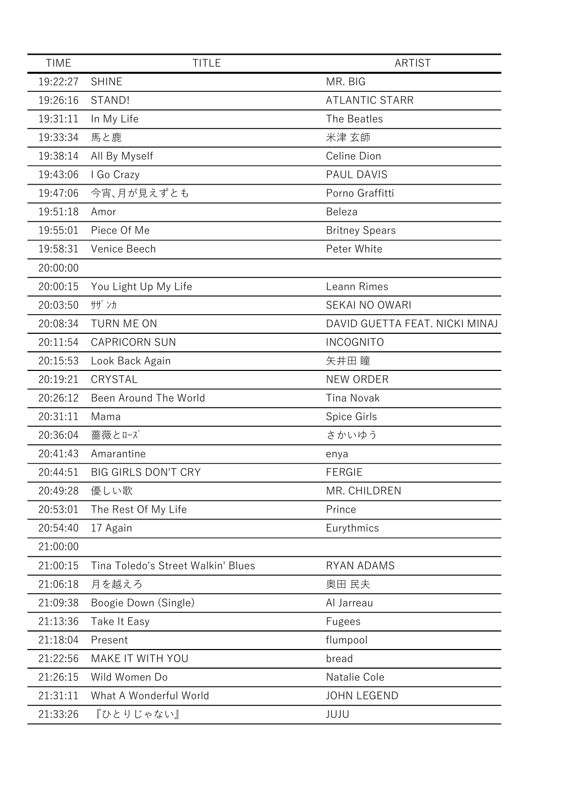| <b>TIME</b> | <b>TITLE</b>                       | <b>ARTIST</b>                  |
|-------------|------------------------------------|--------------------------------|
| 19:22:27    | <b>SHINE</b>                       | MR. BIG                        |
| 19:26:16    | STAND!                             | <b>ATLANTIC STARR</b>          |
| 19:31:11    | In My Life                         | The Beatles                    |
| 19:33:34    | 馬と鹿                                | 米津 玄師                          |
| 19:38:14    | All By Myself                      | Celine Dion                    |
| 19:43:06    | I Go Crazy                         | <b>PAUL DAVIS</b>              |
| 19:47:06    | 今宵、月が見えずとも                         | Porno Graffitti                |
| 19:51:18    | Amor                               | <b>Beleza</b>                  |
| 19:55:01    | Piece Of Me                        | <b>Britney Spears</b>          |
| 19:58:31    | Venice Beech                       | Peter White                    |
| 20:00:00    |                                    |                                |
| 20:00:15    | You Light Up My Life               | Leann Rimes                    |
| 20:03:50    | サザンカ                               | <b>SEKAI NO OWARI</b>          |
| 20:08:34    | <b>TURN ME ON</b>                  | DAVID GUETTA FEAT. NICKI MINAJ |
| 20:11:54    | <b>CAPRICORN SUN</b>               | <b>INCOGNITO</b>               |
| 20:15:53    | Look Back Again                    | 矢井田 瞳                          |
| 20:19:21    | CRYSTAL                            | <b>NEW ORDER</b>               |
| 20:26:12    | Been Around The World              | <b>Tina Novak</b>              |
| 20:31:11    | Mama                               | Spice Girls                    |
| 20:36:04    | 薔薇とローズ                             | さかいゆう                          |
| 20:41:43    | Amarantine                         | enya                           |
| 20:44:51    | <b>BIG GIRLS DON'T CRY</b>         | <b>FERGIE</b>                  |
| 20:49:28    | 優しい歌                               | MR. CHILDREN                   |
| 20:53:01    | The Rest Of My Life                | Prince                         |
| 20:54:40    | 17 Again                           | Eurythmics                     |
| 21:00:00    |                                    |                                |
| 21:00:15    | Tina Toledo's Street Walkin' Blues | <b>RYAN ADAMS</b>              |
| 21:06:18    | 月を越えろ                              | 奥田 民夫                          |
| 21:09:38    | Boogie Down (Single)               | Al Jarreau                     |
| 21:13:36    | Take It Easy                       | Fugees                         |
| 21:18:04    | Present                            | flumpool                       |
| 21:22:56    | MAKE IT WITH YOU                   | bread                          |
| 21:26:15    | Wild Women Do                      | Natalie Cole                   |
| 21:31:11    | What A Wonderful World             | <b>JOHN LEGEND</b>             |
| 21:33:26    | 『ひとりじゃない』                          | JUJU                           |